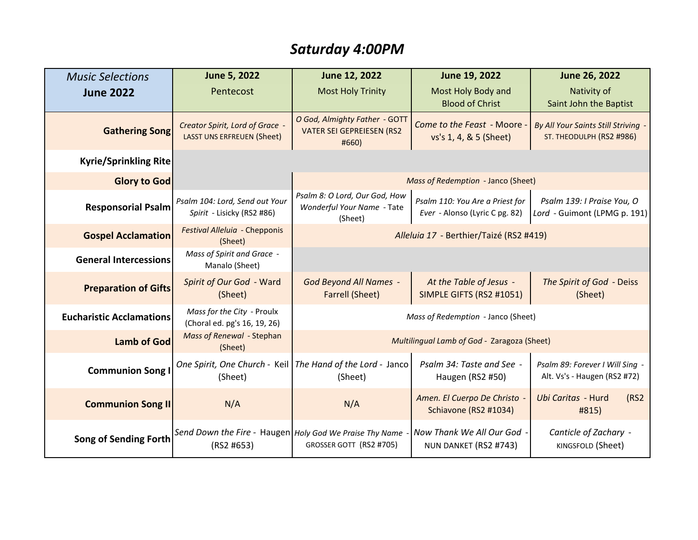## *Saturday 4:00PM*

| <b>Music Selections</b>         | June 5, 2022                                                          | June 12, 2022                                                              | June 19, 2022                                                     | June 26, 2022                                                        |
|---------------------------------|-----------------------------------------------------------------------|----------------------------------------------------------------------------|-------------------------------------------------------------------|----------------------------------------------------------------------|
| <b>June 2022</b>                | Pentecost                                                             | <b>Most Holy Trinity</b>                                                   | Most Holy Body and<br><b>Blood of Christ</b>                      | Nativity of<br>Saint John the Baptist                                |
| <b>Gathering Song</b>           | Creator Spirit, Lord of Grace -<br><b>LASST UNS ERFREUEN (Sheet)</b>  | O God, Almighty Father - GOTT<br><b>VATER SEI GEPREIESEN (RS2</b><br>#660) | Come to the Feast - Moore<br>vs's 1, 4, & 5 (Sheet)               | <b>By All Your Saints Still Striving</b><br>ST. THEODULPH (RS2 #986) |
| <b>Kyrie/Sprinkling Rite</b>    |                                                                       |                                                                            |                                                                   |                                                                      |
| <b>Glory to God</b>             |                                                                       | Mass of Redemption - Janco (Sheet)                                         |                                                                   |                                                                      |
| <b>Responsorial Psalm</b>       | Psalm 104: Lord, Send out Your<br>Spirit - Lisicky (RS2 #86)          | Psalm 8: O Lord, Our God, How<br>Wonderful Your Name - Tate<br>(Sheet)     | Psalm 110: You Are a Priest for<br>Ever - Alonso (Lyric C pg. 82) | Psalm 139: I Praise You, O<br>Lord - Guimont (LPMG p. 191)           |
| <b>Gospel Acclamation</b>       | Festival Alleluia - Chepponis<br>(Sheet)                              | Alleluia 17 - Berthier/Taizé (RS2 #419)                                    |                                                                   |                                                                      |
| <b>General Intercessions</b>    | Mass of Spirit and Grace -<br>Manalo (Sheet)                          |                                                                            |                                                                   |                                                                      |
| <b>Preparation of Gifts</b>     | Spirit of Our God - Ward<br>(Sheet)                                   | <b>God Beyond All Names -</b><br><b>Farrell (Sheet)</b>                    | At the Table of Jesus -<br>SIMPLE GIFTS (RS2 #1051)               | The Spirit of God - Deiss<br>(Sheet)                                 |
| <b>Eucharistic Acclamations</b> | Mass for the City - Proulx<br>(Choral ed. pg's 16, 19, 26)            | Mass of Redemption - Janco (Sheet)                                         |                                                                   |                                                                      |
| <b>Lamb of God</b>              | Mass of Renewal - Stephan<br>(Sheet)                                  | Multilingual Lamb of God - Zaragoza (Sheet)                                |                                                                   |                                                                      |
| <b>Communion Song I</b>         | (Sheet)                                                               | One Spirit, One Church - Keil   The Hand of the Lord - Janco<br>(Sheet)    | Psalm 34: Taste and See -<br>Haugen (RS2 #50)                     | Psalm 89: Forever I Will Sing -<br>Alt. Vs's - Haugen (RS2 #72)      |
| <b>Communion Song II</b>        | N/A                                                                   | N/A                                                                        | Amen. El Cuerpo De Christo -<br>Schiavone (RS2 #1034)             | Ubi Caritas - Hurd<br>(RS2)<br>#815)                                 |
| <b>Song of Sending Forth</b>    | Send Down the Fire - Haugen Holy God We Praise Thy Name<br>(RS2 #653) | GROSSER GOTT (RS2 #705)                                                    | Now Thank We All Our God<br>NUN DANKET (RS2 #743)                 | Canticle of Zachary -<br>KINGSFOLD (Sheet)                           |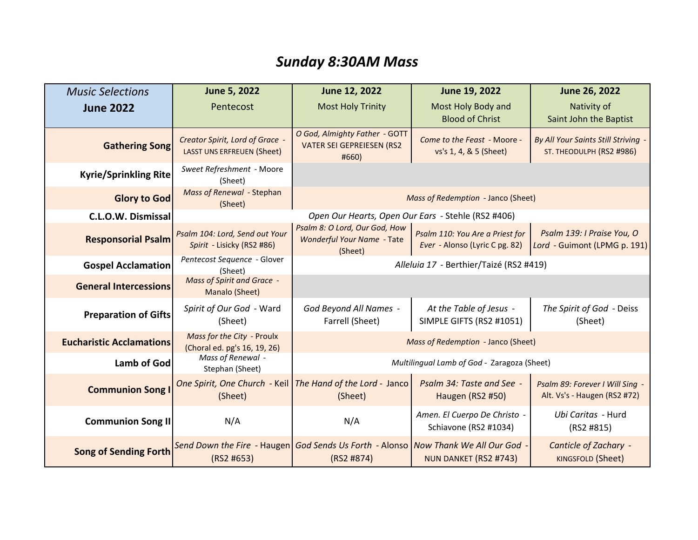# *Sunday 8:30AM Mass*

| <b>Music Selections</b>         | <b>June 5, 2022</b>                                           | June 12, 2022                                                                                    | June 19, 2022                                                     | June 26, 2022                                                   |
|---------------------------------|---------------------------------------------------------------|--------------------------------------------------------------------------------------------------|-------------------------------------------------------------------|-----------------------------------------------------------------|
| <b>June 2022</b>                | Pentecost                                                     | <b>Most Holy Trinity</b>                                                                         | Most Holy Body and<br><b>Blood of Christ</b>                      | Nativity of<br>Saint John the Baptist                           |
| <b>Gathering Song</b>           | Creator Spirit, Lord of Grace -<br>LASST UNS ERFREUEN (Sheet) | O God, Almighty Father - GOTT<br><b>VATER SEI GEPREIESEN (RS2</b><br>#660)                       | Come to the Feast - Moore -<br>vs's 1, 4, & 5 (Sheet)             | By All Your Saints Still Striving -<br>ST. THEODULPH (RS2 #986) |
| <b>Kyrie/Sprinkling Rite</b>    | Sweet Refreshment - Moore<br>(Sheet)                          |                                                                                                  |                                                                   |                                                                 |
| <b>Glory to God</b>             | Mass of Renewal - Stephan<br>(Sheet)                          | Mass of Redemption - Janco (Sheet)                                                               |                                                                   |                                                                 |
| C.L.O.W. Dismissal              |                                                               | Open Our Hearts, Open Our Ears - Stehle (RS2 #406)                                               |                                                                   |                                                                 |
| <b>Responsorial Psalm</b>       | Psalm 104: Lord, Send out Your<br>Spirit - Lisicky (RS2 #86)  | Psalm 8: O Lord, Our God, How<br>Wonderful Your Name - Tate<br>(Sheet)                           | Psalm 110: You Are a Priest for<br>Ever - Alonso (Lyric C pg. 82) | Psalm 139: I Praise You, O<br>Lord - Guimont (LPMG p. 191)      |
| <b>Gospel Acclamation</b>       | Pentecost Sequence - Glover<br>(Sheet)                        | Alleluia 17 - Berthier/Taizé (RS2 #419)                                                          |                                                                   |                                                                 |
| <b>General Intercessions</b>    | Mass of Spirit and Grace -<br>Manalo (Sheet)                  |                                                                                                  |                                                                   |                                                                 |
| <b>Preparation of Gifts</b>     | Spirit of Our God - Ward<br>(Sheet)                           | God Beyond All Names -<br>Farrell (Sheet)                                                        | At the Table of Jesus -<br>SIMPLE GIFTS (RS2 #1051)               | The Spirit of God - Deiss<br>(Sheet)                            |
| <b>Eucharistic Acclamations</b> | Mass for the City - Proulx<br>(Choral ed. pg's 16, 19, 26)    | Mass of Redemption - Janco (Sheet)                                                               |                                                                   |                                                                 |
| <b>Lamb of God</b>              | Mass of Renewal -<br>Stephan (Sheet)                          | Multilingual Lamb of God - Zaragoza (Sheet)                                                      |                                                                   |                                                                 |
| <b>Communion Song</b>           | (Sheet)                                                       | One Spirit, One Church - Keil   The Hand of the Lord - Janco  <br>(Sheet)                        | Psalm 34: Taste and See -<br>Haugen (RS2 #50)                     | Psalm 89: Forever I Will Sing -<br>Alt. Vs's - Haugen (RS2 #72) |
| <b>Communion Song II</b>        | N/A                                                           | N/A                                                                                              | Amen. El Cuerpo De Christo -<br>Schiavone (RS2 #1034)             | Ubi Caritas - Hurd<br>(RS2 #815)                                |
| <b>Song of Sending Forth</b>    | (RS2 H653)                                                    | Send Down the Fire - Haugen God Sends Us Forth - Alonso Now Thank We All Our God -<br>(RS2 #874) | NUN DANKET (RS2 #743)                                             | Canticle of Zachary -<br><b>KINGSFOLD (Sheet)</b>               |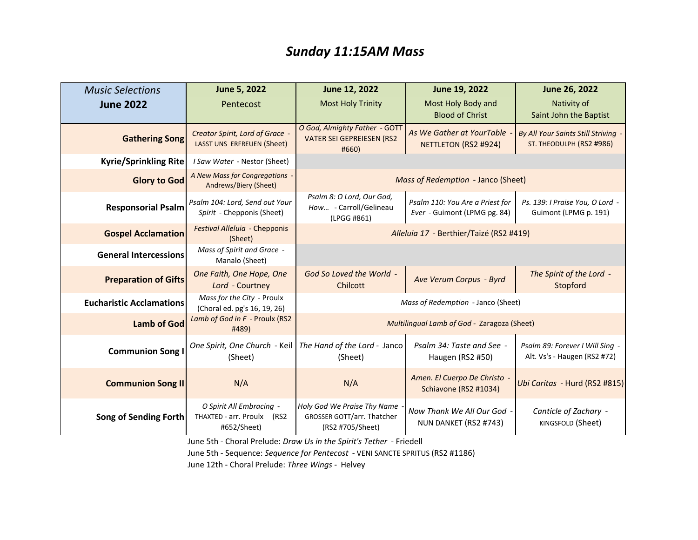#### *Sunday 11:15AM Mass*

| <b>Music Selections</b>         | June 5, 2022                                                             | June 12, 2022                                                                        | June 19, 2022                                                   | June 26, 2022                                                        |
|---------------------------------|--------------------------------------------------------------------------|--------------------------------------------------------------------------------------|-----------------------------------------------------------------|----------------------------------------------------------------------|
| <b>June 2022</b>                | Pentecost                                                                | <b>Most Holy Trinity</b>                                                             | Most Holy Body and<br><b>Blood of Christ</b>                    | Nativity of<br>Saint John the Baptist                                |
| <b>Gathering Song</b>           | Creator Spirit, Lord of Grace -<br>LASST UNS ERFREUEN (Sheet)            | O God, Almighty Father - GOTT<br><b>VATER SEI GEPREIESEN (RS2</b><br>#660)           | As We Gather at YourTable<br>NETTLETON (RS2 #924)               | <b>By All Your Saints Still Striving</b><br>ST. THEODULPH (RS2 #986) |
| <b>Kyrie/Sprinkling Rite</b>    | I Saw Water - Nestor (Sheet)                                             |                                                                                      |                                                                 |                                                                      |
| <b>Glory to God</b>             | A New Mass for Congregations -<br>Andrews/Biery (Sheet)                  | Mass of Redemption - Janco (Sheet)                                                   |                                                                 |                                                                      |
| <b>Responsorial Psalm</b>       | Psalm 104: Lord, Send out Your<br>Spirit - Chepponis (Sheet)             | Psalm 8: O Lord, Our God,<br>How - Carroll/Gelineau<br>(LPGG #861)                   | Psalm 110: You Are a Priest for<br>Ever - Guimont (LPMG pg. 84) | Ps. 139: I Praise You, O Lord -<br>Guimont (LPMG p. 191)             |
| <b>Gospel Acclamation</b>       | Festival Alleluia - Chepponis<br>(Sheet)                                 | Alleluia 17 - Berthier/Taizé (RS2 #419)                                              |                                                                 |                                                                      |
| <b>General Intercessions</b>    | Mass of Spirit and Grace -<br>Manalo (Sheet)                             |                                                                                      |                                                                 |                                                                      |
| <b>Preparation of Gifts</b>     | One Faith, One Hope, One<br>Lord - Courtney                              | God So Loved the World -<br><b>Chilcott</b>                                          | Ave Verum Corpus - Byrd                                         | The Spirit of the Lord -<br>Stopford                                 |
| <b>Eucharistic Acclamations</b> | Mass for the City - Proulx<br>(Choral ed. pg's 16, 19, 26)               | Mass of Redemption - Janco (Sheet)                                                   |                                                                 |                                                                      |
| <b>Lamb of God</b>              | Lamb of God in F - Proulx (RS2<br>#489)                                  |                                                                                      | Multilingual Lamb of God - Zaragoza (Sheet)                     |                                                                      |
| <b>Communion Song I</b>         | One Spirit, One Church - Keil<br>(Sheet)                                 | The Hand of the Lord - Janco<br>(Sheet)                                              | Psalm 34: Taste and See -<br>Haugen (RS2 #50)                   | Psalm 89: Forever I Will Sing -<br>Alt. Vs's - Haugen (RS2 #72)      |
| <b>Communion Song II</b>        | N/A                                                                      | N/A                                                                                  | Amen. El Cuerpo De Christo -<br>Schiavone (RS2 #1034)           | Ubi Caritas - Hurd (RS2 #815)                                        |
| Song of Sending Forth           | O Spirit All Embracing -<br>THAXTED - arr. Proulx<br>(RS2<br>#652/Sheet) | Holy God We Praise Thy Name<br><b>GROSSER GOTT/arr. Thatcher</b><br>(RS2 #705/Sheet) | Now Thank We All Our God -<br>NUN DANKET (RS2 #743)             | Canticle of Zachary -<br>KINGSFOLD (Sheet)                           |

June 5th - Choral Prelude: *Draw Us in the Spirit's Tether* - Friedell

June 5th - Sequence: *Sequence for Pentecost* - VENI SANCTE SPRITUS (RS2 #1186)

June 12th - Choral Prelude: *Three Wings -* Helvey